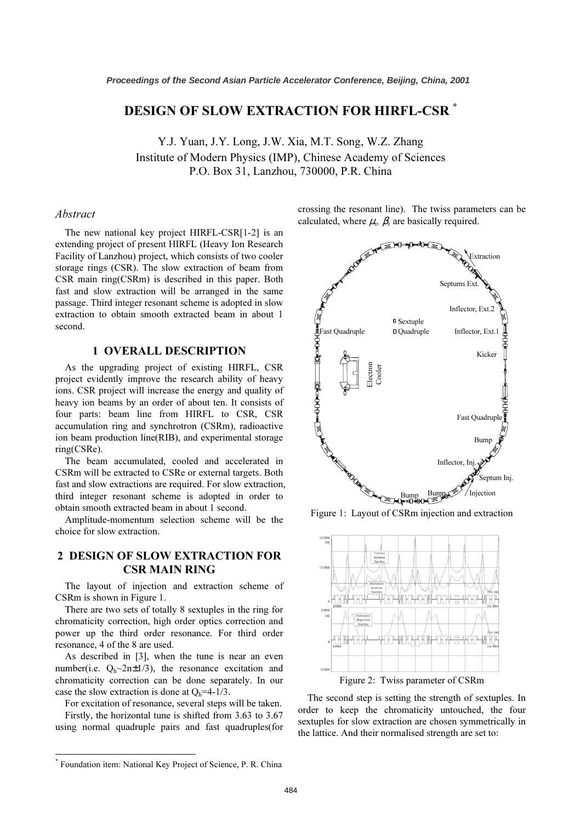# DESIGN OF SLOW EXTRACTION FOR HIRFL-CSR *\**

Y.J. Yuan, J.Y. Long, J.W. Xia, M.T. Song, W.Z. Zhang Institute of Modern Physics (IMP), Chinese Academy of Sciences P.O. Box 31, Lanzhou, 730000, P.R. China

## Abstract

The new national key project HIRFL-CSR[1-2] is an extending project of present HIRFL (Heavy Ion Research Facility of Lanzhou) project, which consists of two cooler storage rings (CSR). The slow extraction of beam from CSR main ring(CSRm) is described in this paper. Both fast and slow extraction will be arranged in the same passage. Third integer resonant scheme is adopted in slow extraction to obtain smooth extracted beam in about 1 second.

## 1 OVERALL DESCRIPTION

As the upgrading project of existing HIRFL, CSR project evidently improve the research ability of heavy ions. CSR project will increase the energy and quality of heavy ion beams by an order of about ten. It consists of four parts: beam line from HIRFL to CSR, CSR accumulation ring and synchrotron (CSRm), radioactive ion beam production line(RIB), and experimental storage ring(CSRe).

The beam accumulated, cooled and accelerated in CSRm will be extracted to CSRe or external targets. Both fast and slow extractions are required. For slow extraction, third integer resonant scheme is adopted in order to obtain smooth extracted beam in about 1 second.

Amplitude-momentum selection scheme will be the choice for slow extraction.

## 2 DESIGN OF SLOW EXTRACTION FOR CSR MAIN RING

The layout of injection and extraction scheme of CSRm is shown in Figure 1.

There are two sets of totally 8 sextuples in the ring for chromaticity correction, high order optics correction and power up the third order resonance. For third order resonance, 4 of the 8 are used.

As described in [3], when the tune is near an even number(i.e.  $Q_h \sim 2n \pm 1/3$ ), the resonance excitation and chromaticity correction can be done separately. In our case the slow extraction is done at  $Q_h$ =4-1/3.

For excitation of resonance, several steps will be taken. Firstly, the horizontal tune is shifted from 3.63 to 3.67

using normal quadruple pairs and fast quadruples(for

crossing the resonant line). The twiss parameters can be calculated, where  $\mu_x$ ,  $\beta_x$  are basically required.



Figure 1: Layout of CSRm injection and extraction



Figure 2: Twiss parameter of CSRm

The second step is setting the strength of sextuples. In order to keep the chromaticity untouched, the four sextuples for slow extraction are chosen symmetrically in the lattice. And their normalised strength are set to:

 $\overline{a}$ 

*<sup>\*</sup>* Foundation item: National Key Project of Science, P. R. China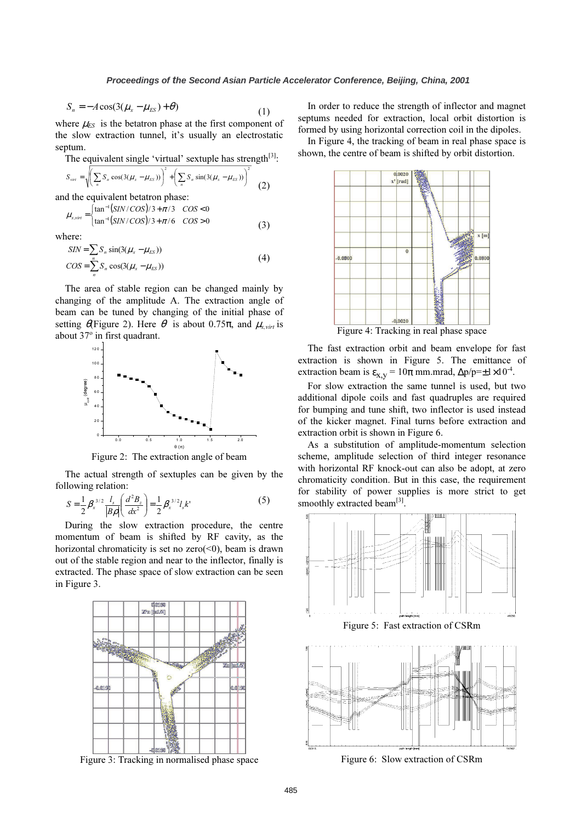$$
S_n = -A\cos(3(\mu_x - \mu_{ES}) + \theta)
$$
 (1)

where  $\mu_{ES}$  is the betatron phase at the first component of the slow extraction tunnel, it's usually an electrostatic septum.

The equivalent single 'virtual' sextuple has strength $[3]$ :

$$
S_{\text{vir}} = \sqrt{\left(\sum_{n} S_n \cos(3(\mu_x - \mu_{ES}))\right)^2 + \left(\sum_{n} S_n \sin(3(\mu_x - \mu_{ES}))\right)^2}
$$
 (2)

and the equivalent betatron phase:

$$
\mu_{x,virt} = \begin{cases} \n\tan^{-1}(SIN/COS)/3 + \pi/3 & \cos < 0\\ \n\tan^{-1}(SIN/COS)/3 + \pi/6 & \cos > 0 \n\t\end{cases} \n(3)
$$

where:

$$
SIN = \sum_{n} S_n \sin(3(\mu_x - \mu_{ES}))
$$
  
\n
$$
COS = \sum_{n} S_n \cos(3(\mu_x - \mu_{ES}))
$$
\n(4)

The area of stable region can be changed mainly by changing of the amplitude A. The extraction angle of beam can be tuned by changing of the initial phase of setting  $\theta$  Figure 2). Here  $\theta$  is about 0.75 $\pi$ , and  $\mu_{x,virt}$  is about 37° in first quadrant.



Figure 2: The extraction angle of beam

The actual strength of sextuples can be given by the following relation:

$$
S = \frac{1}{2} \beta_x^{3/2} \frac{l_s}{|B\rho|} \left(\frac{d^2 B_z}{dx^2}\right) = \frac{1}{2} \beta_x^{3/2} l_s k' \tag{5}
$$

During the slow extraction procedure, the centre momentum of beam is shifted by RF cavity, as the horizontal chromaticity is set no zero( $\leq 0$ ), beam is drawn out of the stable region and near to the inflector, finally is extracted. The phase space of slow extraction can be seen in Figure 3.



Figure 3: Tracking in normalised phase space

In order to reduce the strength of inflector and magnet septums needed for extraction, local orbit distortion is formed by using horizontal correction coil in the dipoles.

In Figure 4, the tracking of beam in real phase space is shown, the centre of beam is shifted by orbit distortion.



The fast extraction orbit and beam envelope for fast extraction is shown in Figure 5. The emittance of extraction beam is  $\varepsilon_{X,Y} = 10\pi$  mm.mrad,  $\Delta p/p = \pm 1 \times 10^{-4}$ .

For slow extraction the same tunnel is used, but two additional dipole coils and fast quadruples are required for bumping and tune shift, two inflector is used instead of the kicker magnet. Final turns before extraction and extraction orbit is shown in Figure 6.

As a substitution of amplitude-momentum selection scheme, amplitude selection of third integer resonance with horizontal RF knock-out can also be adopt, at zero chromaticity condition. But in this case, the requirement for stability of power supplies is more strict to get smoothly extracted beam $^{[3]}$ .



Figure 6: Slow extraction of CSRm